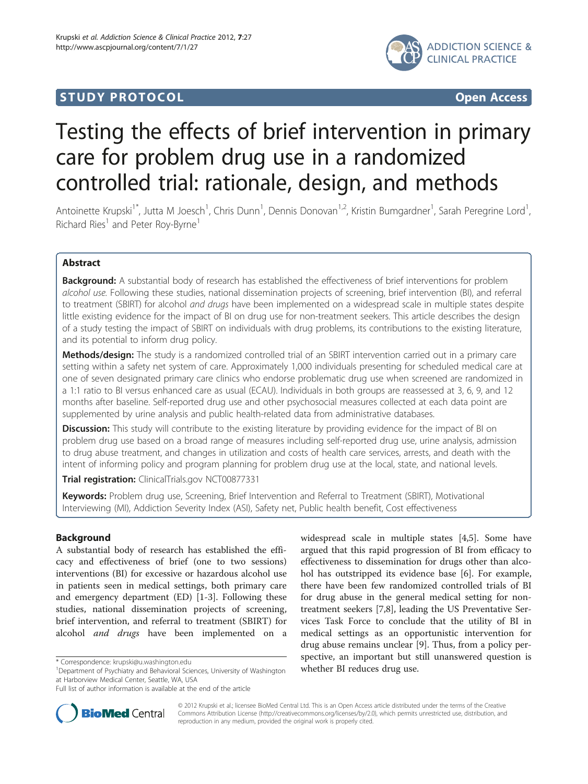# **STUDY PROTOCOL** And the set of the set of the set of the set of the set of the set of the set of the set of the set of the set of the set of the set of the set of the set of the set of the set of the set of the set of the



# Testing the effects of brief intervention in primary care for problem drug use in a randomized controlled trial: rationale, design, and methods

Antoinette Krupski<sup>1\*</sup>, Jutta M Joesch<sup>1</sup>, Chris Dunn<sup>1</sup>, Dennis Donovan<sup>1,2</sup>, Kristin Bumgardner<sup>1</sup>, Sarah Peregrine Lord<sup>1</sup> , Richard Ries<sup>1</sup> and Peter Roy-Byrne<sup>1</sup>

# Abstract

**Background:** A substantial body of research has established the effectiveness of brief interventions for problem alcohol use. Following these studies, national dissemination projects of screening, brief intervention (BI), and referral to treatment (SBIRT) for alcohol and drugs have been implemented on a widespread scale in multiple states despite little existing evidence for the impact of BI on drug use for non-treatment seekers. This article describes the design of a study testing the impact of SBIRT on individuals with drug problems, its contributions to the existing literature, and its potential to inform drug policy.

Methods/design: The study is a randomized controlled trial of an SBIRT intervention carried out in a primary care setting within a safety net system of care. Approximately 1,000 individuals presenting for scheduled medical care at one of seven designated primary care clinics who endorse problematic drug use when screened are randomized in a 1:1 ratio to BI versus enhanced care as usual (ECAU). Individuals in both groups are reassessed at 3, 6, 9, and 12 months after baseline. Self-reported drug use and other psychosocial measures collected at each data point are supplemented by urine analysis and public health-related data from administrative databases.

**Discussion:** This study will contribute to the existing literature by providing evidence for the impact of BI on problem drug use based on a broad range of measures including self-reported drug use, urine analysis, admission to drug abuse treatment, and changes in utilization and costs of health care services, arrests, and death with the intent of informing policy and program planning for problem drug use at the local, state, and national levels.

Trial registration: ClinicalTrials.gov NCT00877331

Keywords: Problem drug use, Screening, Brief Intervention and Referral to Treatment (SBIRT), Motivational Interviewing (MI), Addiction Severity Index (ASI), Safety net, Public health benefit, Cost effectiveness

# Background

A substantial body of research has established the efficacy and effectiveness of brief (one to two sessions) interventions (BI) for excessive or hazardous alcohol use in patients seen in medical settings, both primary care and emergency department (ED) [\[1](#page-8-0)-[3\]](#page-8-0). Following these studies, national dissemination projects of screening, brief intervention, and referral to treatment (SBIRT) for alcohol and drugs have been implemented on a

widespread scale in multiple states [[4,5\]](#page-8-0). Some have argued that this rapid progression of BI from efficacy to effectiveness to dissemination for drugs other than alcohol has outstripped its evidence base [[6\]](#page-8-0). For example, there have been few randomized controlled trials of BI for drug abuse in the general medical setting for nontreatment seekers [[7,8\]](#page-8-0), leading the US Preventative Services Task Force to conclude that the utility of BI in medical settings as an opportunistic intervention for drug abuse remains unclear [[9\]](#page-8-0). Thus, from a policy perspective, an important but still unanswered question is



© 2012 Krupski et al.; licensee BioMed Central Ltd. This is an Open Access article distributed under the terms of the Creative Commons Attribution License [\(http://creativecommons.org/licenses/by/2.0\)](http://creativecommons.org/licenses/by/2.0), which permits unrestricted use, distribution, and reproduction in any medium, provided the original work is properly cited.

<sup>\*</sup> Correspondence: [krupski@u.washington.edu](mailto:krupski@u.washington.edu)<br>
<sup>1</sup>Department of Psychiatry and Behavioral Sciences, University of Washington **Whether BI reduces drug use**. at Harborview Medical Center, Seattle, WA, USA

Full list of author information is available at the end of the article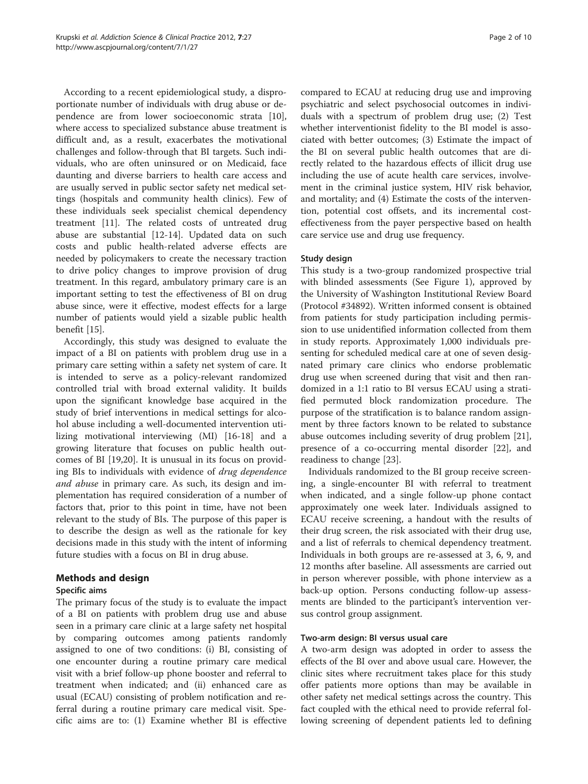According to a recent epidemiological study, a disproportionate number of individuals with drug abuse or dependence are from lower socioeconomic strata [\[10](#page-8-0)], where access to specialized substance abuse treatment is difficult and, as a result, exacerbates the motivational challenges and follow-through that BI targets. Such individuals, who are often uninsured or on Medicaid, face daunting and diverse barriers to health care access and are usually served in public sector safety net medical settings (hospitals and community health clinics). Few of these individuals seek specialist chemical dependency treatment [\[11](#page-8-0)]. The related costs of untreated drug abuse are substantial [[12-14](#page-8-0)]. Updated data on such costs and public health-related adverse effects are needed by policymakers to create the necessary traction to drive policy changes to improve provision of drug treatment. In this regard, ambulatory primary care is an important setting to test the effectiveness of BI on drug abuse since, were it effective, modest effects for a large number of patients would yield a sizable public health benefit [[15\]](#page-8-0).

Accordingly, this study was designed to evaluate the impact of a BI on patients with problem drug use in a primary care setting within a safety net system of care. It is intended to serve as a policy-relevant randomized controlled trial with broad external validity. It builds upon the significant knowledge base acquired in the study of brief interventions in medical settings for alcohol abuse including a well-documented intervention utilizing motivational interviewing (MI) [[16](#page-8-0)-[18\]](#page-8-0) and a growing literature that focuses on public health outcomes of BI [[19,20](#page-8-0)]. It is unusual in its focus on providing BIs to individuals with evidence of drug dependence and abuse in primary care. As such, its design and implementation has required consideration of a number of factors that, prior to this point in time, have not been relevant to the study of BIs. The purpose of this paper is to describe the design as well as the rationale for key decisions made in this study with the intent of informing future studies with a focus on BI in drug abuse.

# Methods and design

# Specific aims

The primary focus of the study is to evaluate the impact of a BI on patients with problem drug use and abuse seen in a primary care clinic at a large safety net hospital by comparing outcomes among patients randomly assigned to one of two conditions: (i) BI, consisting of one encounter during a routine primary care medical visit with a brief follow-up phone booster and referral to treatment when indicated; and (ii) enhanced care as usual (ECAU) consisting of problem notification and referral during a routine primary care medical visit. Specific aims are to: (1) Examine whether BI is effective compared to ECAU at reducing drug use and improving psychiatric and select psychosocial outcomes in individuals with a spectrum of problem drug use; (2) Test whether interventionist fidelity to the BI model is associated with better outcomes; (3) Estimate the impact of the BI on several public health outcomes that are directly related to the hazardous effects of illicit drug use including the use of acute health care services, involvement in the criminal justice system, HIV risk behavior, and mortality; and (4) Estimate the costs of the intervention, potential cost offsets, and its incremental costeffectiveness from the payer perspective based on health care service use and drug use frequency.

# Study design

This study is a two-group randomized prospective trial with blinded assessments (See Figure [1\)](#page-2-0), approved by the University of Washington Institutional Review Board (Protocol #34892). Written informed consent is obtained from patients for study participation including permission to use unidentified information collected from them in study reports. Approximately 1,000 individuals presenting for scheduled medical care at one of seven designated primary care clinics who endorse problematic drug use when screened during that visit and then randomized in a 1:1 ratio to BI versus ECAU using a stratified permuted block randomization procedure. The purpose of the stratification is to balance random assignment by three factors known to be related to substance abuse outcomes including severity of drug problem [\[21](#page-8-0)], presence of a co-occurring mental disorder [[22\]](#page-8-0), and readiness to change [\[23](#page-9-0)].

Individuals randomized to the BI group receive screening, a single-encounter BI with referral to treatment when indicated, and a single follow-up phone contact approximately one week later. Individuals assigned to ECAU receive screening, a handout with the results of their drug screen, the risk associated with their drug use, and a list of referrals to chemical dependency treatment. Individuals in both groups are re-assessed at 3, 6, 9, and 12 months after baseline. All assessments are carried out in person wherever possible, with phone interview as a back-up option. Persons conducting follow-up assessments are blinded to the participant's intervention versus control group assignment.

# Two-arm design: BI versus usual care

A two-arm design was adopted in order to assess the effects of the BI over and above usual care. However, the clinic sites where recruitment takes place for this study offer patients more options than may be available in other safety net medical settings across the country. This fact coupled with the ethical need to provide referral following screening of dependent patients led to defining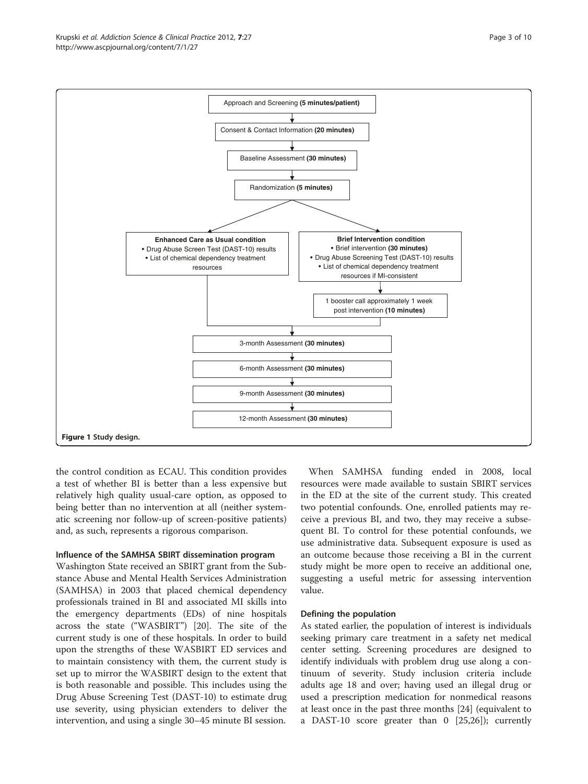<span id="page-2-0"></span>Krupski et al. Addiction Science & Clinical Practice 2012, 7:27 Page 3 of 10 http://www.ascpjournal.org/content/7/1/27



the control condition as ECAU. This condition provides a test of whether BI is better than a less expensive but relatively high quality usual-care option, as opposed to being better than no intervention at all (neither systematic screening nor follow-up of screen-positive patients) and, as such, represents a rigorous comparison.

#### Influence of the SAMHSA SBIRT dissemination program

Washington State received an SBIRT grant from the Substance Abuse and Mental Health Services Administration (SAMHSA) in 2003 that placed chemical dependency professionals trained in BI and associated MI skills into the emergency departments (EDs) of nine hospitals across the state ("WASBIRT") [\[20\]](#page-8-0). The site of the current study is one of these hospitals. In order to build upon the strengths of these WASBIRT ED services and to maintain consistency with them, the current study is set up to mirror the WASBIRT design to the extent that is both reasonable and possible. This includes using the Drug Abuse Screening Test (DAST-10) to estimate drug use severity, using physician extenders to deliver the intervention, and using a single 30–45 minute BI session.

When SAMHSA funding ended in 2008, local resources were made available to sustain SBIRT services in the ED at the site of the current study. This created two potential confounds. One, enrolled patients may receive a previous BI, and two, they may receive a subsequent BI. To control for these potential confounds, we use administrative data. Subsequent exposure is used as an outcome because those receiving a BI in the current study might be more open to receive an additional one, suggesting a useful metric for assessing intervention value.

#### Defining the population

As stated earlier, the population of interest is individuals seeking primary care treatment in a safety net medical center setting. Screening procedures are designed to identify individuals with problem drug use along a continuum of severity. Study inclusion criteria include adults age 18 and over; having used an illegal drug or used a prescription medication for nonmedical reasons at least once in the past three months [\[24](#page-9-0)] (equivalent to a DAST-10 score greater than 0 [\[25,26](#page-9-0)]); currently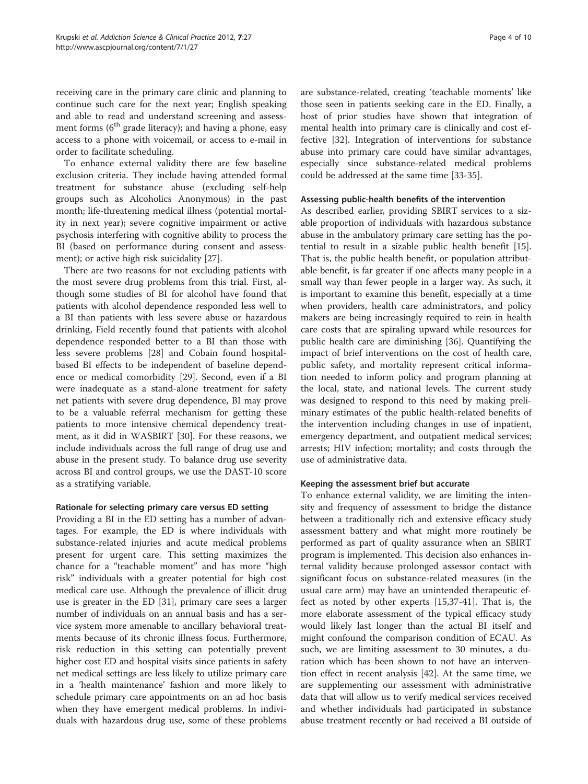receiving care in the primary care clinic and planning to continue such care for the next year; English speaking and able to read and understand screening and assessment forms  $(6<sup>th</sup>$  grade literacy); and having a phone, easy access to a phone with voicemail, or access to e-mail in order to facilitate scheduling.

To enhance external validity there are few baseline exclusion criteria. They include having attended formal treatment for substance abuse (excluding self-help groups such as Alcoholics Anonymous) in the past month; life-threatening medical illness (potential mortality in next year); severe cognitive impairment or active psychosis interfering with cognitive ability to process the BI (based on performance during consent and assessment); or active high risk suicidality [\[27\]](#page-9-0).

There are two reasons for not excluding patients with the most severe drug problems from this trial. First, although some studies of BI for alcohol have found that patients with alcohol dependence responded less well to a BI than patients with less severe abuse or hazardous drinking, Field recently found that patients with alcohol dependence responded better to a BI than those with less severe problems [\[28\]](#page-9-0) and Cobain found hospitalbased BI effects to be independent of baseline dependence or medical comorbidity [\[29\]](#page-9-0). Second, even if a BI were inadequate as a stand-alone treatment for safety net patients with severe drug dependence, BI may prove to be a valuable referral mechanism for getting these patients to more intensive chemical dependency treatment, as it did in WASBIRT [\[30](#page-9-0)]. For these reasons, we include individuals across the full range of drug use and abuse in the present study. To balance drug use severity across BI and control groups, we use the DAST-10 score as a stratifying variable.

# Rationale for selecting primary care versus ED setting

Providing a BI in the ED setting has a number of advantages. For example, the ED is where individuals with substance-related injuries and acute medical problems present for urgent care. This setting maximizes the chance for a "teachable moment" and has more "high risk" individuals with a greater potential for high cost medical care use. Although the prevalence of illicit drug use is greater in the ED [[31\]](#page-9-0), primary care sees a larger number of individuals on an annual basis and has a service system more amenable to ancillary behavioral treatments because of its chronic illness focus. Furthermore, risk reduction in this setting can potentially prevent higher cost ED and hospital visits since patients in safety net medical settings are less likely to utilize primary care in a 'health maintenance' fashion and more likely to schedule primary care appointments on an ad hoc basis when they have emergent medical problems. In individuals with hazardous drug use, some of these problems

are substance-related, creating 'teachable moments' like those seen in patients seeking care in the ED. Finally, a host of prior studies have shown that integration of mental health into primary care is clinically and cost effective [\[32](#page-9-0)]. Integration of interventions for substance abuse into primary care could have similar advantages, especially since substance-related medical problems could be addressed at the same time [\[33-35](#page-9-0)].

# Assessing public-health benefits of the intervention

As described earlier, providing SBIRT services to a sizable proportion of individuals with hazardous substance abuse in the ambulatory primary care setting has the potential to result in a sizable public health benefit [\[15](#page-8-0)]. That is, the public health benefit, or population attributable benefit, is far greater if one affects many people in a small way than fewer people in a larger way. As such, it is important to examine this benefit, especially at a time when providers, health care administrators, and policy makers are being increasingly required to rein in health care costs that are spiraling upward while resources for public health care are diminishing [[36](#page-9-0)]. Quantifying the impact of brief interventions on the cost of health care, public safety, and mortality represent critical information needed to inform policy and program planning at the local, state, and national levels. The current study was designed to respond to this need by making preliminary estimates of the public health-related benefits of the intervention including changes in use of inpatient, emergency department, and outpatient medical services; arrests; HIV infection; mortality; and costs through the use of administrative data.

#### Keeping the assessment brief but accurate

To enhance external validity, we are limiting the intensity and frequency of assessment to bridge the distance between a traditionally rich and extensive efficacy study assessment battery and what might more routinely be performed as part of quality assurance when an SBIRT program is implemented. This decision also enhances internal validity because prolonged assessor contact with significant focus on substance-related measures (in the usual care arm) may have an unintended therapeutic effect as noted by other experts [\[15](#page-8-0)[,37-41](#page-9-0)]. That is, the more elaborate assessment of the typical efficacy study would likely last longer than the actual BI itself and might confound the comparison condition of ECAU. As such, we are limiting assessment to 30 minutes, a duration which has been shown to not have an intervention effect in recent analysis [[42](#page-9-0)]. At the same time, we are supplementing our assessment with administrative data that will allow us to verify medical services received and whether individuals had participated in substance abuse treatment recently or had received a BI outside of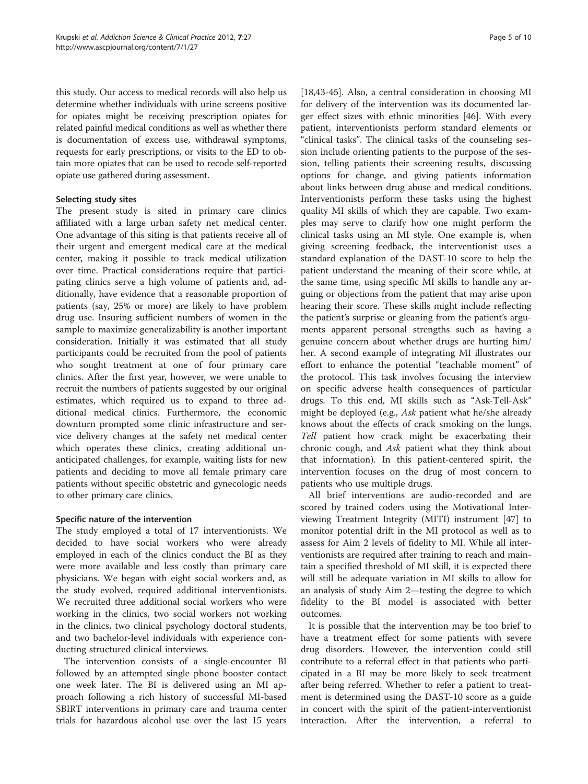this study. Our access to medical records will also help us determine whether individuals with urine screens positive for opiates might be receiving prescription opiates for related painful medical conditions as well as whether there is documentation of excess use, withdrawal symptoms, requests for early prescriptions, or visits to the ED to obtain more opiates that can be used to recode self-reported opiate use gathered during assessment.

# Selecting study sites

The present study is sited in primary care clinics affiliated with a large urban safety net medical center. One advantage of this siting is that patients receive all of their urgent and emergent medical care at the medical center, making it possible to track medical utilization over time. Practical considerations require that participating clinics serve a high volume of patients and, additionally, have evidence that a reasonable proportion of patients (say, 25% or more) are likely to have problem drug use. Insuring sufficient numbers of women in the sample to maximize generalizability is another important consideration. Initially it was estimated that all study participants could be recruited from the pool of patients who sought treatment at one of four primary care clinics. After the first year, however, we were unable to recruit the numbers of patients suggested by our original estimates, which required us to expand to three additional medical clinics. Furthermore, the economic downturn prompted some clinic infrastructure and service delivery changes at the safety net medical center which operates these clinics, creating additional unanticipated challenges, for example, waiting lists for new patients and deciding to move all female primary care patients without specific obstetric and gynecologic needs to other primary care clinics.

#### Specific nature of the intervention

The study employed a total of 17 interventionists. We decided to have social workers who were already employed in each of the clinics conduct the BI as they were more available and less costly than primary care physicians. We began with eight social workers and, as the study evolved, required additional interventionists. We recruited three additional social workers who were working in the clinics, two social workers not working in the clinics, two clinical psychology doctoral students, and two bachelor-level individuals with experience conducting structured clinical interviews.

The intervention consists of a single-encounter BI followed by an attempted single phone booster contact one week later. The BI is delivered using an MI approach following a rich history of successful MI-based SBIRT interventions in primary care and trauma center trials for hazardous alcohol use over the last 15 years

[[18,](#page-8-0)[43-45\]](#page-9-0). Also, a central consideration in choosing MI for delivery of the intervention was its documented larger effect sizes with ethnic minorities [\[46](#page-9-0)]. With every patient, interventionists perform standard elements or "clinical tasks". The clinical tasks of the counseling session include orienting patients to the purpose of the session, telling patients their screening results, discussing options for change, and giving patients information about links between drug abuse and medical conditions. Interventionists perform these tasks using the highest quality MI skills of which they are capable. Two examples may serve to clarify how one might perform the clinical tasks using an MI style. One example is, when giving screening feedback, the interventionist uses a standard explanation of the DAST-10 score to help the patient understand the meaning of their score while, at the same time, using specific MI skills to handle any arguing or objections from the patient that may arise upon hearing their score. These skills might include reflecting the patient's surprise or gleaning from the patient's arguments apparent personal strengths such as having a genuine concern about whether drugs are hurting him/ her. A second example of integrating MI illustrates our effort to enhance the potential "teachable moment" of the protocol. This task involves focusing the interview on specific adverse health consequences of particular drugs. To this end, MI skills such as "Ask-Tell-Ask" might be deployed (e.g., Ask patient what he/she already knows about the effects of crack smoking on the lungs. Tell patient how crack might be exacerbating their chronic cough, and Ask patient what they think about that information). In this patient-centered spirit, the intervention focuses on the drug of most concern to patients who use multiple drugs.

All brief interventions are audio-recorded and are scored by trained coders using the Motivational Interviewing Treatment Integrity (MITI) instrument [[47\]](#page-9-0) to monitor potential drift in the MI protocol as well as to assess for Aim 2 levels of fidelity to MI. While all interventionists are required after training to reach and maintain a specified threshold of MI skill, it is expected there will still be adequate variation in MI skills to allow for an analysis of study Aim 2—testing the degree to which fidelity to the BI model is associated with better outcomes.

It is possible that the intervention may be too brief to have a treatment effect for some patients with severe drug disorders. However, the intervention could still contribute to a referral effect in that patients who participated in a BI may be more likely to seek treatment after being referred. Whether to refer a patient to treatment is determined using the DAST-10 score as a guide in concert with the spirit of the patient-interventionist interaction. After the intervention, a referral to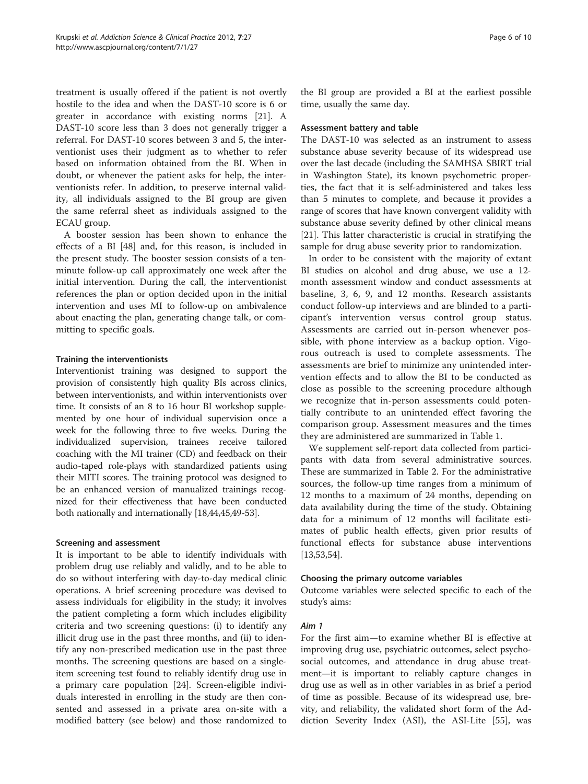treatment is usually offered if the patient is not overtly hostile to the idea and when the DAST-10 score is 6 or greater in accordance with existing norms [\[21\]](#page-8-0). A DAST-10 score less than 3 does not generally trigger a referral. For DAST-10 scores between 3 and 5, the interventionist uses their judgment as to whether to refer based on information obtained from the BI. When in doubt, or whenever the patient asks for help, the interventionists refer. In addition, to preserve internal validity, all individuals assigned to the BI group are given the same referral sheet as individuals assigned to the ECAU group.

A booster session has been shown to enhance the effects of a BI [[48\]](#page-9-0) and, for this reason, is included in the present study. The booster session consists of a tenminute follow-up call approximately one week after the initial intervention. During the call, the interventionist references the plan or option decided upon in the initial intervention and uses MI to follow-up on ambivalence about enacting the plan, generating change talk, or committing to specific goals.

# Training the interventionists

Interventionist training was designed to support the provision of consistently high quality BIs across clinics, between interventionists, and within interventionists over time. It consists of an 8 to 16 hour BI workshop supplemented by one hour of individual supervision once a week for the following three to five weeks. During the individualized supervision, trainees receive tailored coaching with the MI trainer (CD) and feedback on their audio-taped role-plays with standardized patients using their MITI scores. The training protocol was designed to be an enhanced version of manualized trainings recognized for their effectiveness that have been conducted both nationally and internationally [\[18,](#page-8-0)[44,45,49-53\]](#page-9-0).

### Screening and assessment

It is important to be able to identify individuals with problem drug use reliably and validly, and to be able to do so without interfering with day-to-day medical clinic operations. A brief screening procedure was devised to assess individuals for eligibility in the study; it involves the patient completing a form which includes eligibility criteria and two screening questions: (i) to identify any illicit drug use in the past three months, and (ii) to identify any non-prescribed medication use in the past three months. The screening questions are based on a singleitem screening test found to reliably identify drug use in a primary care population [[24](#page-9-0)]. Screen-eligible individuals interested in enrolling in the study are then consented and assessed in a private area on-site with a modified battery (see below) and those randomized to

the BI group are provided a BI at the earliest possible time, usually the same day.

#### Assessment battery and table

The DAST-10 was selected as an instrument to assess substance abuse severity because of its widespread use over the last decade (including the SAMHSA SBIRT trial in Washington State), its known psychometric properties, the fact that it is self-administered and takes less than 5 minutes to complete, and because it provides a range of scores that have known convergent validity with substance abuse severity defined by other clinical means [[21\]](#page-8-0). This latter characteristic is crucial in stratifying the sample for drug abuse severity prior to randomization.

In order to be consistent with the majority of extant BI studies on alcohol and drug abuse, we use a 12 month assessment window and conduct assessments at baseline, 3, 6, 9, and 12 months. Research assistants conduct follow-up interviews and are blinded to a participant's intervention versus control group status. Assessments are carried out in-person whenever possible, with phone interview as a backup option. Vigorous outreach is used to complete assessments. The assessments are brief to minimize any unintended intervention effects and to allow the BI to be conducted as close as possible to the screening procedure although we recognize that in-person assessments could potentially contribute to an unintended effect favoring the comparison group. Assessment measures and the times they are administered are summarized in Table [1](#page-6-0).

We supplement self-report data collected from participants with data from several administrative sources. These are summarized in Table [2](#page-7-0). For the administrative sources, the follow-up time ranges from a minimum of 12 months to a maximum of 24 months, depending on data availability during the time of the study. Obtaining data for a minimum of 12 months will facilitate estimates of public health effects, given prior results of functional effects for substance abuse interventions [[13,](#page-8-0)[53,54\]](#page-9-0).

#### Choosing the primary outcome variables

Outcome variables were selected specific to each of the study's aims:

#### Aim 1

For the first aim—to examine whether BI is effective at improving drug use, psychiatric outcomes, select psychosocial outcomes, and attendance in drug abuse treatment—it is important to reliably capture changes in drug use as well as in other variables in as brief a period of time as possible. Because of its widespread use, brevity, and reliability, the validated short form of the Addiction Severity Index (ASI), the ASI-Lite [[55\]](#page-9-0), was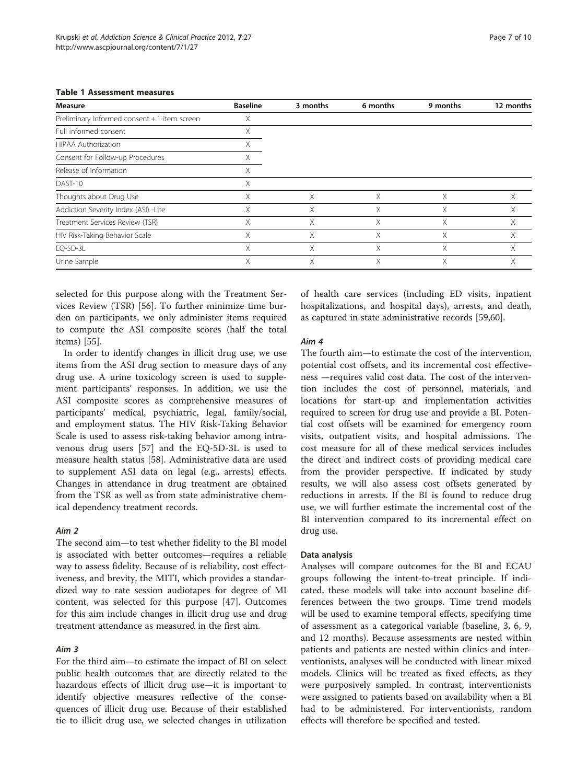<span id="page-6-0"></span>

|  |  | <b>Table 1 Assessment measures</b> |  |
|--|--|------------------------------------|--|
|--|--|------------------------------------|--|

| Measure                                      | <b>Baseline</b> | 3 months | 6 months | 9 months | 12 months |
|----------------------------------------------|-----------------|----------|----------|----------|-----------|
| Preliminary Informed consent + 1-item screen | Χ               |          |          |          |           |
| Full informed consent                        | X               |          |          |          |           |
| <b>HIPAA Authorization</b>                   | Х               |          |          |          |           |
| Consent for Follow-up Procedures             | Х               |          |          |          |           |
| Release of Information                       | Χ               |          |          |          |           |
| DAST-10                                      | X               |          |          |          |           |
| Thoughts about Drug Use                      | Χ               | X        | Χ        | Χ        | X         |
| Addiction Severity Index (ASI) -Lite         | Χ               | X        | Χ        | Χ        | Χ         |
| Treatment Services Review (TSR)              | Χ               | X        | Χ        | Χ        | Χ         |
| HIV Risk-Taking Behavior Scale               | Χ               | Χ        | Χ        | Χ        | X         |
| EQ-5D-3L                                     | Χ               | X        |          | Χ        | X         |
| Urine Sample                                 | Χ               | X        | X        | X        | X         |

selected for this purpose along with the Treatment Services Review (TSR) [\[56](#page-9-0)]. To further minimize time burden on participants, we only administer items required to compute the ASI composite scores (half the total items) [\[55\]](#page-9-0).

In order to identify changes in illicit drug use, we use items from the ASI drug section to measure days of any drug use. A urine toxicology screen is used to supplement participants' responses. In addition, we use the ASI composite scores as comprehensive measures of participants' medical, psychiatric, legal, family/social, and employment status. The HIV Risk-Taking Behavior Scale is used to assess risk-taking behavior among intravenous drug users [\[57](#page-9-0)] and the EQ-5D-3L is used to measure health status [[58\]](#page-9-0). Administrative data are used to supplement ASI data on legal (e.g., arrests) effects. Changes in attendance in drug treatment are obtained from the TSR as well as from state administrative chemical dependency treatment records.

# Aim 2

The second aim—to test whether fidelity to the BI model is associated with better outcomes—requires a reliable way to assess fidelity. Because of is reliability, cost effectiveness, and brevity, the MITI, which provides a standardized way to rate session audiotapes for degree of MI content, was selected for this purpose [[47](#page-9-0)]. Outcomes for this aim include changes in illicit drug use and drug treatment attendance as measured in the first aim.

# Aim 3

For the third aim—to estimate the impact of BI on select public health outcomes that are directly related to the hazardous effects of illicit drug use—it is important to identify objective measures reflective of the consequences of illicit drug use. Because of their established tie to illicit drug use, we selected changes in utilization

of health care services (including ED visits, inpatient hospitalizations, and hospital days), arrests, and death, as captured in state administrative records [[59,60\]](#page-9-0).

# Aim 4

The fourth aim—to estimate the cost of the intervention, potential cost offsets, and its incremental cost effectiveness —requires valid cost data. The cost of the intervention includes the cost of personnel, materials, and locations for start-up and implementation activities required to screen for drug use and provide a BI. Potential cost offsets will be examined for emergency room visits, outpatient visits, and hospital admissions. The cost measure for all of these medical services includes the direct and indirect costs of providing medical care from the provider perspective. If indicated by study results, we will also assess cost offsets generated by reductions in arrests. If the BI is found to reduce drug use, we will further estimate the incremental cost of the BI intervention compared to its incremental effect on drug use.

#### Data analysis

Analyses will compare outcomes for the BI and ECAU groups following the intent-to-treat principle. If indicated, these models will take into account baseline differences between the two groups. Time trend models will be used to examine temporal effects, specifying time of assessment as a categorical variable (baseline, 3, 6, 9, and 12 months). Because assessments are nested within patients and patients are nested within clinics and interventionists, analyses will be conducted with linear mixed models. Clinics will be treated as fixed effects, as they were purposively sampled. In contrast, interventionists were assigned to patients based on availability when a BI had to be administered. For interventionists, random effects will therefore be specified and tested.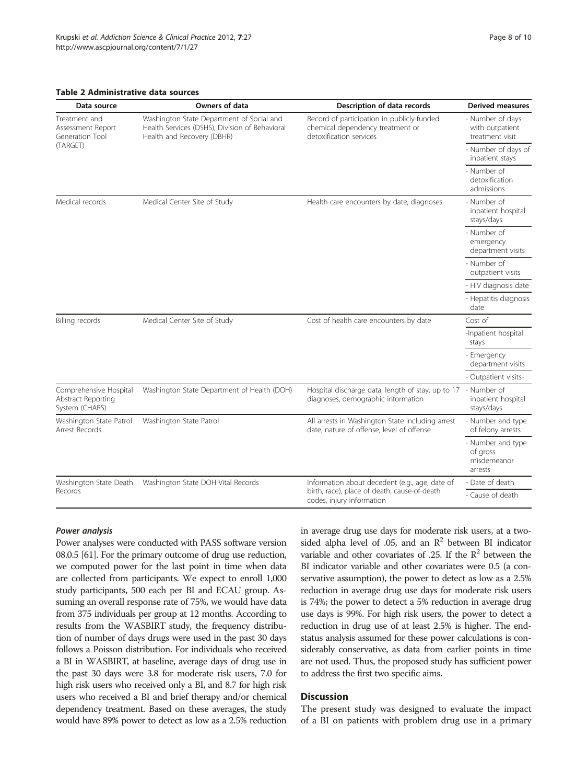### <span id="page-7-0"></span>Table 2 Administrative data sources

| Data source                                                    | Owners of data                                                                                                            | Description of data records                                                                               | <b>Derived measures</b>                                 |
|----------------------------------------------------------------|---------------------------------------------------------------------------------------------------------------------------|-----------------------------------------------------------------------------------------------------------|---------------------------------------------------------|
| Treatment and<br>Assessment Report<br>Generation Tool          | Washington State Department of Social and<br>Health Services (DSHS), Division of Behavioral<br>Health and Recovery (DBHR) | Record of participation in publicly-funded<br>chemical dependency treatment or<br>detoxification services | - Number of days<br>with outpatient<br>treatment visit  |
| <b>(TARGET)</b>                                                |                                                                                                                           |                                                                                                           | - Number of days of<br>inpatient stays                  |
|                                                                |                                                                                                                           |                                                                                                           | - Number of<br>detoxification<br>admissions             |
| Medical records                                                | Medical Center Site of Study                                                                                              | Health care encounters by date, diagnoses                                                                 | - Number of<br>inpatient hospital<br>stays/days         |
|                                                                |                                                                                                                           |                                                                                                           | - Number of<br>emergency<br>department visits           |
|                                                                |                                                                                                                           |                                                                                                           | - Number of<br>outpatient visits                        |
|                                                                |                                                                                                                           |                                                                                                           | - HIV diagnosis date                                    |
|                                                                |                                                                                                                           |                                                                                                           | - Hepatitis diagnosis<br>date                           |
| <b>Billing records</b>                                         | Medical Center Site of Study                                                                                              | Cost of health care encounters by date                                                                    | Cost of                                                 |
|                                                                |                                                                                                                           |                                                                                                           | -Inpatient hospital<br>stays                            |
|                                                                |                                                                                                                           |                                                                                                           | - Emergency<br>department visits                        |
|                                                                |                                                                                                                           |                                                                                                           | - Outpatient visits-                                    |
| Comprehensive Hospital<br>Abstract Reporting<br>System (CHARS) | Washington State Department of Health (DOH)                                                                               | Hospital discharge data, length of stay, up to 17<br>diagnoses, demographic information                   | - Number of<br>inpatient hospital<br>stays/days         |
| Washington State Patrol<br>Arrest Records                      | Washington State Patrol                                                                                                   | All arrests in Washington State including arrest<br>date, nature of offense, level of offense             | - Number and type<br>of felony arrests                  |
|                                                                |                                                                                                                           |                                                                                                           | - Number and type<br>of gross<br>misdemeanor<br>arrests |
| Washington State Death                                         | Washington State DOH Vital Records                                                                                        | Information about decedent (e.g., age, date of                                                            | - Date of death                                         |
| Records                                                        |                                                                                                                           | birth, race), place of death, cause-of-death<br>codes, injury information                                 | - Cause of death                                        |

# Power analysis

Power analyses were conducted with PASS software version 08.0.5 [\[61\]](#page-9-0). For the primary outcome of drug use reduction, we computed power for the last point in time when data are collected from participants. We expect to enroll 1,000 study participants, 500 each per BI and ECAU group. Assuming an overall response rate of 75%, we would have data from 375 individuals per group at 12 months. According to results from the WASBIRT study, the frequency distribution of number of days drugs were used in the past 30 days follows a Poisson distribution. For individuals who received a BI in WASBIRT, at baseline, average days of drug use in the past 30 days were 3.8 for moderate risk users, 7.0 for high risk users who received only a BI, and 8.7 for high risk users who received a BI and brief therapy and/or chemical dependency treatment. Based on these averages, the study would have 89% power to detect as low as a 2.5% reduction in average drug use days for moderate risk users, at a twosided alpha level of .05, and an  $\mathbb{R}^2$  between BI indicator variable and other covariates of .25. If the  $\mathbb{R}^2$  between the BI indicator variable and other covariates were 0.5 (a conservative assumption), the power to detect as low as a 2.5% reduction in average drug use days for moderate risk users is 74%; the power to detect a 5% reduction in average drug use days is 99%. For high risk users, the power to detect a reduction in drug use of at least 2.5% is higher. The endstatus analysis assumed for these power calculations is considerably conservative, as data from earlier points in time are not used. Thus, the proposed study has sufficient power to address the first two specific aims.

# **Discussion**

The present study was designed to evaluate the impact of a BI on patients with problem drug use in a primary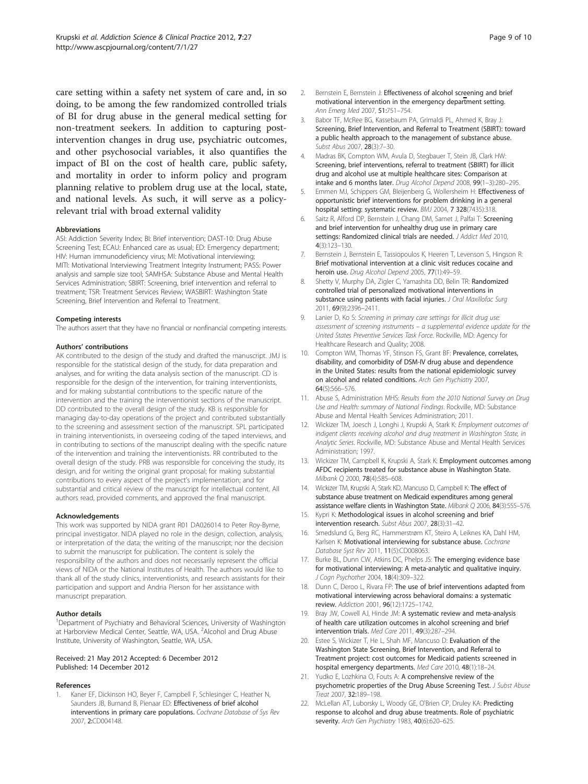<span id="page-8-0"></span>care setting within a safety net system of care and, in so doing, to be among the few randomized controlled trials of BI for drug abuse in the general medical setting for non-treatment seekers. In addition to capturing postintervention changes in drug use, psychiatric outcomes, and other psychosocial variables, it also quantifies the impact of BI on the cost of health care, public safety, and mortality in order to inform policy and program planning relative to problem drug use at the local, state, and national levels. As such, it will serve as a policyrelevant trial with broad external validity

#### Abbreviations

ASI: Addiction Severity Index; BI: Brief intervention; DAST-10: Drug Abuse Screening Test; ECAU: Enhanced care as usual; ED: Emergency department; HIV: Human immunodeficiency virus; MI: Motivational interviewing; MITI: Motivational Interviewing Treatment Integrity Instrument; PASS: Power analysis and sample size tool; SAMHSA: Substance Abuse and Mental Health Services Administration; SBIRT: Screening, brief intervention and referral to treatment; TSR: Treatment Services Review; WASBIRT: Washington State Screening, Brief Intervention and Referral to Treatment.

#### Competing interests

The authors assert that they have no financial or nonfinancial competing interests.

#### Authors' contributions

AK contributed to the design of the study and drafted the manuscript. JMJ is responsible for the statistical design of the study, for data preparation and analyses, and for writing the data analysis section of the manuscript. CD is responsible for the design of the intervention, for training interventionists, and for making substantial contributions to the specific nature of the intervention and the training the interventionist sections of the manuscript. DD contributed to the overall design of the study. KB is responsible for managing day-to-day operations of the project and contributed substantially to the screening and assessment section of the manuscript. SPL participated in training interventionists, in overseeing coding of the taped interviews, and in contributing to sections of the manuscript dealing with the specific nature of the intervention and training the interventionists. RR contributed to the overall design of the study. PRB was responsible for conceiving the study, its design, and for writing the original grant proposal; for making substantial contributions to every aspect of the project's implementation; and for substantial and critical review of the manuscript for intellectual content. All authors read, provided comments, and approved the final manuscript.

#### Acknowledgements

This work was supported by NIDA grant R01 DA026014 to Peter Roy-Byrne, principal investigator. NIDA played no role in the design, collection, analysis, or interpretation of the data; the writing of the manuscript; nor the decision to submit the manuscript for publication. The content is solely the responsibility of the authors and does not necessarily represent the official views of NIDA or the National Institutes of Health. The authors would like to thank all of the study clinics, interventionists, and research assistants for their participation and support and Andria Pierson for her assistance with manuscript preparation.

#### Author details

<sup>1</sup>Department of Psychiatry and Behavioral Sciences, University of Washington at Harborview Medical Center, Seattle, WA, USA. <sup>2</sup>Alcohol and Drug Abuse Institute, University of Washington, Seattle, WA, USA.

#### Received: 21 May 2012 Accepted: 6 December 2012 Published: 14 December 2012

#### References

Kaner EF, Dickinson HO, Beyer F, Campbell F, Schlesinger C, Heather N, Saunders JB, Burnand B, Pienaar ED: Effectiveness of brief alcohol interventions in primary care populations. Cochrane Database of Sys Rev 2007, 2:CD004148.

- Bernstein E, Bernstein J: Effectiveness of alcohol screening and brief motivational intervention in the emergency department setting. Ann Emerg Med 2007, 51:751–754.
- Babor TF, McRee BG, Kassebaum PA, Grimaldi PL, Ahmed K, Bray J: Screening, Brief Intervention, and Referral to Treatment (SBIRT): toward a public health approach to the management of substance abuse. Subst Abus 2007, 28(3):7–30.
- 4. Madras BK, Compton WM, Avula D, Stegbauer T, Stein JB, Clark HW: Screening, brief interventions, referral to treatment (SBIRT) for illicit drug and alcohol use at multiple healthcare sites: Comparison at intake and 6 months later. Drug Alcohol Depend 2008, 99(1–3):280–295.
- Emmen MJ, Schippers GM, Bleijenberg G, Wollersheim H: Effectiveness of opportunistic brief interventions for problem drinking in a general hospital setting: systematic review. BMJ 2004, 7 328(7435):318.
- 6. Saitz R, Alford DP, Bernstein J, Chang DM, Samet J, Palfai T: Screening and brief intervention for unhealthy drug use in primary care settings: Randomized clinical trials are needed. J Addict Med 2010, 4(3):123–130.
- 7. Bernstein J, Bernstein E, Tassiopoulos K, Heeren T, Levenson S, Hingson R: Brief motivational intervention at a clinic visit reduces cocaine and heroin use. Drug Alcohol Depend 2005, 77(1):49-59.
- Shetty V, Murphy DA, Zigler C, Yamashita DD, Belin TR: Randomized controlled trial of personalized motivational interventions in substance using patients with facial injuries. J Oral Maxillofac Surg 2011, 69(9):2396–2411.
- 9. Lanier D, Ko S: Screening in primary care settings for illicit drug use: assessment of screening instruments – a supplemental evidence update for the United States Preventive Services Task Force. Rockville, MD: Agency for Healthcare Research and Quality; 2008.
- 10. Compton WM, Thomas YF, Stinson FS, Grant BF: Prevalence, correlates, disability, and comorbidity of DSM-IV drug abuse and dependence in the United States: results from the national epidemiologic survey on alcohol and related conditions. Arch Gen Psychiatry 2007, 64(5):566–576.
- 11. Abuse S, Administration MHS: Results from the 2010 National Survey on Drug Use and Health: summary of National Findings. Rockville, MD: Substance Abuse and Mental Health Services Administration; 2011.
- 12. Wickizer TM, Joesch J, Longhi J, Krupski A, Stark K: Employment outcomes of indigent clients receiving alcohol and drug treatment in Washington State, in Analytic Series. Rockville, MD: Substance Abuse and Mental Health Services Administration; 1997.
- 13. Wickizer TM, Campbell K, Krupski A, Stark K: Employment outcomes among AFDC recipients treated for substance abuse in Washington State. Milbank Q 2000, 78(4):585–608.
- 14. Wickizer TM, Krupski A, Stark KD, Mancuso D, Campbell K: The effect of substance abuse treatment on Medicaid expenditures among general assistance welfare clients in Washington State. Milbank Q 2006, 84(3):555–576.
- 15. Kypri K: Methodological issues in alcohol screening and brief intervention research. Subst Abus 2007, 28(3):31–42.
- 16. Smedslund G, Berg RC, Hammerstrøm KT, Steiro A, Leiknes KA, Dahl HM, Karlsen K: Motivational interviewing for substance abuse. Cochrane Database Syst Rev 2011, 11(5):CD008063.
- 17. Burke BL, Dunn CW, Atkins DC, Phelps JS: The emerging evidence base for motivational interviewing: A meta-analytic and qualitative inquiry. J Cogn Psychother 2004, 18(4):309–322.
- 18. Dunn C, Deroo L, Rivara FP: The use of brief interventions adapted from motivational interviewing across behavioral domains: a systematic review. Addiction 2001, 96(12):1725–1742.
- 19. Bray JW, Cowell AJ, Hinde JM: A systematic review and meta-analysis of health care utilization outcomes in alcohol screening and brief intervention trials. Med Care 2011, 49(3):287–294.
- 20. Estee S, Wickizer T, He L, Shah MF, Mancuso D: Evaluation of the Washington State Screening, Brief Intervention, and Referral to Treatment project: cost outcomes for Medicaid patients screened in hospital emergency departments. Med Care 2010, 48(1):18–24.
- 21. Yudko E, Lozhkina O, Fouts A: A comprehensive review of the psychometric properties of the Drug Abuse Screening Test. J Subst Abuse Treat 2007, 32:189–198.
- 22. McLellan AT, Luborsky L, Woody GE, O'Brien CP, Druley KA: Predicting response to alcohol and drug abuse treatments. Role of psychiatric severity. Arch Gen Psychiatry 1983, 40(6):620-625.